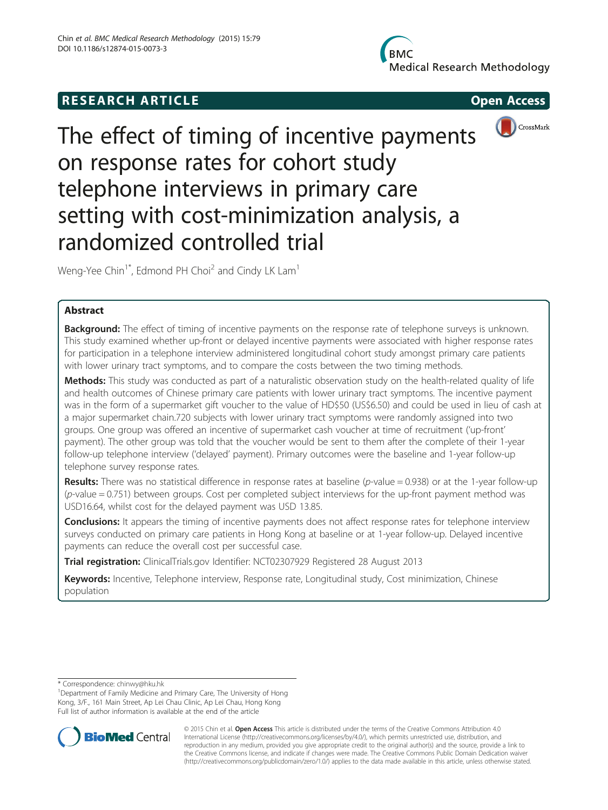# **RESEARCH ARTICLE Example 2018 CONSIDERING CONSIDERING CONSIDERING CONSIDERING CONSIDERING CONSIDERING CONSIDERING CONSIDERING CONSIDERING CONSIDERING CONSIDERING CONSIDERING CONSIDERING CONSIDERING CONSIDERING CONSIDE**

**Medical Research Methodology** 



# The effect of timing of incentive payments on response rates for cohort study telephone interviews in primary care setting with cost-minimization analysis, a randomized controlled trial

Weng-Yee Chin<sup>1\*</sup>, Edmond PH Choi<sup>2</sup> and Cindy LK Lam<sup>1</sup>

# Abstract

**Background:** The effect of timing of incentive payments on the response rate of telephone surveys is unknown. This study examined whether up-front or delayed incentive payments were associated with higher response rates for participation in a telephone interview administered longitudinal cohort study amongst primary care patients with lower urinary tract symptoms, and to compare the costs between the two timing methods.

Methods: This study was conducted as part of a naturalistic observation study on the health-related quality of life and health outcomes of Chinese primary care patients with lower urinary tract symptoms. The incentive payment was in the form of a supermarket gift voucher to the value of HD\$50 (US\$6.50) and could be used in lieu of cash at a major supermarket chain.720 subjects with lower urinary tract symptoms were randomly assigned into two groups. One group was offered an incentive of supermarket cash voucher at time of recruitment ('up-front' payment). The other group was told that the voucher would be sent to them after the complete of their 1-year follow-up telephone interview ('delayed' payment). Primary outcomes were the baseline and 1-year follow-up telephone survey response rates.

Results: There was no statistical difference in response rates at baseline ( $p$ -value = 0.938) or at the 1-year follow-up (p-value = 0.751) between groups. Cost per completed subject interviews for the up-front payment method was USD16.64, whilst cost for the delayed payment was USD 13.85.

**Conclusions:** It appears the timing of incentive payments does not affect response rates for telephone interview surveys conducted on primary care patients in Hong Kong at baseline or at 1-year follow-up. Delayed incentive payments can reduce the overall cost per successful case.

Trial registration: ClinicalTrials.gov Identifier: [NCT02307929](https://clinicaltrials.gov/ct2/show/NCT02307929) Registered 28 August 2013

Keywords: Incentive, Telephone interview, Response rate, Longitudinal study, Cost minimization, Chinese population

\* Correspondence: [chinwy@hku.hk](mailto:chinwy@hku.hk) <sup>1</sup>

<sup>1</sup>Department of Family Medicine and Primary Care, The University of Hong Kong, 3/F., 161 Main Street, Ap Lei Chau Clinic, Ap Lei Chau, Hong Kong Full list of author information is available at the end of the article



© 2015 Chin et al. Open Access This article is distributed under the terms of the Creative Commons Attribution 4.0 International License [\(http://creativecommons.org/licenses/by/4.0/](http://creativecommons.org/licenses/by/4.0/)), which permits unrestricted use, distribution, and reproduction in any medium, provided you give appropriate credit to the original author(s) and the source, provide a link to the Creative Commons license, and indicate if changes were made. The Creative Commons Public Domain Dedication waiver [\(http://creativecommons.org/publicdomain/zero/1.0/](http://creativecommons.org/publicdomain/zero/1.0/)) applies to the data made available in this article, unless otherwise stated.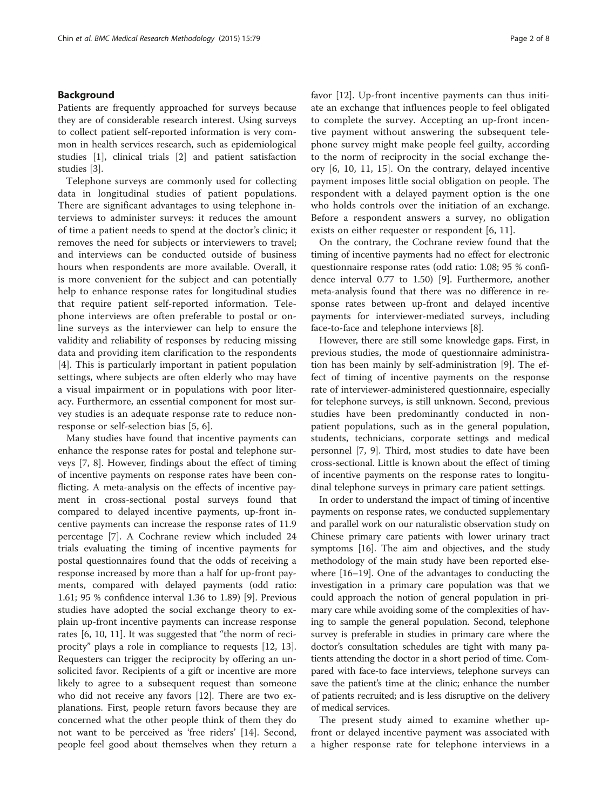#### Background

Patients are frequently approached for surveys because they are of considerable research interest. Using surveys to collect patient self-reported information is very common in health services research, such as epidemiological studies [\[1](#page-6-0)], clinical trials [[2\]](#page-6-0) and patient satisfaction studies [\[3\]](#page-6-0).

Telephone surveys are commonly used for collecting data in longitudinal studies of patient populations. There are significant advantages to using telephone interviews to administer surveys: it reduces the amount of time a patient needs to spend at the doctor's clinic; it removes the need for subjects or interviewers to travel; and interviews can be conducted outside of business hours when respondents are more available. Overall, it is more convenient for the subject and can potentially help to enhance response rates for longitudinal studies that require patient self-reported information. Telephone interviews are often preferable to postal or online surveys as the interviewer can help to ensure the validity and reliability of responses by reducing missing data and providing item clarification to the respondents [[4\]](#page-6-0). This is particularly important in patient population settings, where subjects are often elderly who may have a visual impairment or in populations with poor literacy. Furthermore, an essential component for most survey studies is an adequate response rate to reduce nonresponse or self-selection bias [[5, 6\]](#page-6-0).

Many studies have found that incentive payments can enhance the response rates for postal and telephone surveys [[7](#page-6-0), [8](#page-6-0)]. However, findings about the effect of timing of incentive payments on response rates have been conflicting. A meta-analysis on the effects of incentive payment in cross-sectional postal surveys found that compared to delayed incentive payments, up-front incentive payments can increase the response rates of 11.9 percentage [[7\]](#page-6-0). A Cochrane review which included 24 trials evaluating the timing of incentive payments for postal questionnaires found that the odds of receiving a response increased by more than a half for up-front payments, compared with delayed payments (odd ratio: 1.61; 95 % confidence interval 1.36 to 1.89) [\[9\]](#page-6-0). Previous studies have adopted the social exchange theory to explain up-front incentive payments can increase response rates [\[6](#page-6-0), [10](#page-6-0), [11\]](#page-6-0). It was suggested that "the norm of reciprocity" plays a role in compliance to requests [[12](#page-6-0), [13](#page-6-0)]. Requesters can trigger the reciprocity by offering an unsolicited favor. Recipients of a gift or incentive are more likely to agree to a subsequent request than someone who did not receive any favors [[12\]](#page-6-0). There are two explanations. First, people return favors because they are concerned what the other people think of them they do not want to be perceived as 'free riders' [[14\]](#page-6-0). Second, people feel good about themselves when they return a favor [\[12](#page-6-0)]. Up-front incentive payments can thus initiate an exchange that influences people to feel obligated to complete the survey. Accepting an up-front incentive payment without answering the subsequent telephone survey might make people feel guilty, according to the norm of reciprocity in the social exchange theory [[6, 10, 11](#page-6-0), [15\]](#page-6-0). On the contrary, delayed incentive payment imposes little social obligation on people. The respondent with a delayed payment option is the one who holds controls over the initiation of an exchange. Before a respondent answers a survey, no obligation exists on either requester or respondent [\[6](#page-6-0), [11](#page-6-0)].

On the contrary, the Cochrane review found that the timing of incentive payments had no effect for electronic questionnaire response rates (odd ratio: 1.08; 95 % confidence interval 0.77 to 1.50) [[9\]](#page-6-0). Furthermore, another meta-analysis found that there was no difference in response rates between up-front and delayed incentive payments for interviewer-mediated surveys, including face-to-face and telephone interviews [[8\]](#page-6-0).

However, there are still some knowledge gaps. First, in previous studies, the mode of questionnaire administration has been mainly by self-administration [[9\]](#page-6-0). The effect of timing of incentive payments on the response rate of interviewer-administered questionnaire, especially for telephone surveys, is still unknown. Second, previous studies have been predominantly conducted in nonpatient populations, such as in the general population, students, technicians, corporate settings and medical personnel [[7, 9\]](#page-6-0). Third, most studies to date have been cross-sectional. Little is known about the effect of timing of incentive payments on the response rates to longitudinal telephone surveys in primary care patient settings.

In order to understand the impact of timing of incentive payments on response rates, we conducted supplementary and parallel work on our naturalistic observation study on Chinese primary care patients with lower urinary tract symptoms [[16](#page-6-0)]. The aim and objectives, and the study methodology of the main study have been reported elsewhere [[16](#page-6-0)–[19\]](#page-6-0). One of the advantages to conducting the investigation in a primary care population was that we could approach the notion of general population in primary care while avoiding some of the complexities of having to sample the general population. Second, telephone survey is preferable in studies in primary care where the doctor's consultation schedules are tight with many patients attending the doctor in a short period of time. Compared with face-to face interviews, telephone surveys can save the patient's time at the clinic; enhance the number of patients recruited; and is less disruptive on the delivery of medical services.

The present study aimed to examine whether upfront or delayed incentive payment was associated with a higher response rate for telephone interviews in a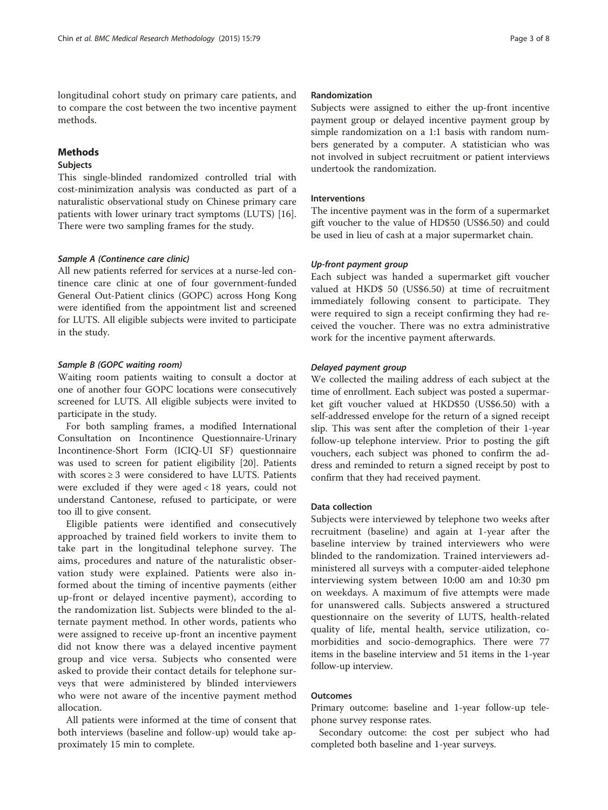# Methods

# **Subjects**

This single-blinded randomized controlled trial with cost-minimization analysis was conducted as part of a naturalistic observational study on Chinese primary care patients with lower urinary tract symptoms (LUTS) [\[16](#page-6-0)]. There were two sampling frames for the study.

# Sample A (Continence care clinic)

All new patients referred for services at a nurse-led continence care clinic at one of four government-funded General Out-Patient clinics (GOPC) across Hong Kong were identified from the appointment list and screened for LUTS. All eligible subjects were invited to participate in the study.

#### Sample B (GOPC waiting room)

Waiting room patients waiting to consult a doctor at one of another four GOPC locations were consecutively screened for LUTS. All eligible subjects were invited to participate in the study.

For both sampling frames, a modified International Consultation on Incontinence Questionnaire-Urinary Incontinence-Short Form (ICIQ-UI SF) questionnaire was used to screen for patient eligibility [\[20\]](#page-7-0). Patients with scores ≥ 3 were considered to have LUTS. Patients were excluded if they were aged < 18 years, could not understand Cantonese, refused to participate, or were too ill to give consent.

Eligible patients were identified and consecutively approached by trained field workers to invite them to take part in the longitudinal telephone survey. The aims, procedures and nature of the naturalistic observation study were explained. Patients were also informed about the timing of incentive payments (either up-front or delayed incentive payment), according to the randomization list. Subjects were blinded to the alternate payment method. In other words, patients who were assigned to receive up-front an incentive payment did not know there was a delayed incentive payment group and vice versa. Subjects who consented were asked to provide their contact details for telephone surveys that were administered by blinded interviewers who were not aware of the incentive payment method allocation.

All patients were informed at the time of consent that both interviews (baseline and follow-up) would take approximately 15 min to complete.

#### Randomization

Subjects were assigned to either the up-front incentive payment group or delayed incentive payment group by simple randomization on a 1:1 basis with random numbers generated by a computer. A statistician who was not involved in subject recruitment or patient interviews undertook the randomization.

#### Interventions

The incentive payment was in the form of a supermarket gift voucher to the value of HD\$50 (US\$6.50) and could be used in lieu of cash at a major supermarket chain.

#### Up-front payment group

Each subject was handed a supermarket gift voucher valued at HKD\$ 50 (US\$6.50) at time of recruitment immediately following consent to participate. They were required to sign a receipt confirming they had received the voucher. There was no extra administrative work for the incentive payment afterwards.

#### Delayed payment group

We collected the mailing address of each subject at the time of enrollment. Each subject was posted a supermarket gift voucher valued at HKD\$50 (US\$6.50) with a self-addressed envelope for the return of a signed receipt slip. This was sent after the completion of their 1-year follow-up telephone interview. Prior to posting the gift vouchers, each subject was phoned to confirm the address and reminded to return a signed receipt by post to confirm that they had received payment.

#### Data collection

Subjects were interviewed by telephone two weeks after recruitment (baseline) and again at 1-year after the baseline interview by trained interviewers who were blinded to the randomization. Trained interviewers administered all surveys with a computer-aided telephone interviewing system between 10:00 am and 10:30 pm on weekdays. A maximum of five attempts were made for unanswered calls. Subjects answered a structured questionnaire on the severity of LUTS, health-related quality of life, mental health, service utilization, comorbidities and socio-demographics. There were 77 items in the baseline interview and 51 items in the 1-year follow-up interview.

### Outcomes

Primary outcome: baseline and 1-year follow-up telephone survey response rates.

Secondary outcome: the cost per subject who had completed both baseline and 1-year surveys.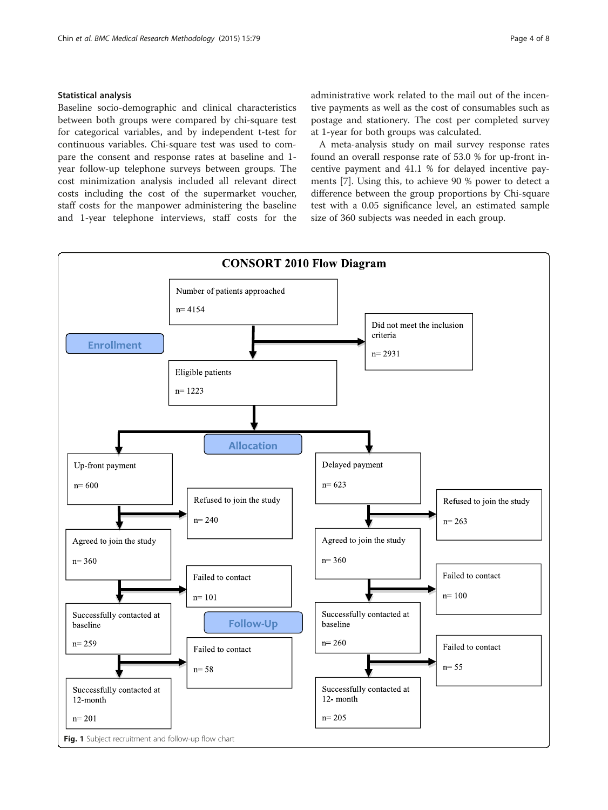#### <span id="page-3-0"></span>Statistical analysis

Baseline socio-demographic and clinical characteristics between both groups were compared by chi-square test for categorical variables, and by independent t-test for continuous variables. Chi-square test was used to compare the consent and response rates at baseline and 1 year follow-up telephone surveys between groups. The cost minimization analysis included all relevant direct costs including the cost of the supermarket voucher, staff costs for the manpower administering the baseline and 1-year telephone interviews, staff costs for the

administrative work related to the mail out of the incentive payments as well as the cost of consumables such as postage and stationery. The cost per completed survey at 1-year for both groups was calculated.

A meta-analysis study on mail survey response rates found an overall response rate of 53.0 % for up-front incentive payment and 41.1 % for delayed incentive payments [\[7](#page-6-0)]. Using this, to achieve 90 % power to detect a difference between the group proportions by Chi-square test with a 0.05 significance level, an estimated sample size of 360 subjects was needed in each group.

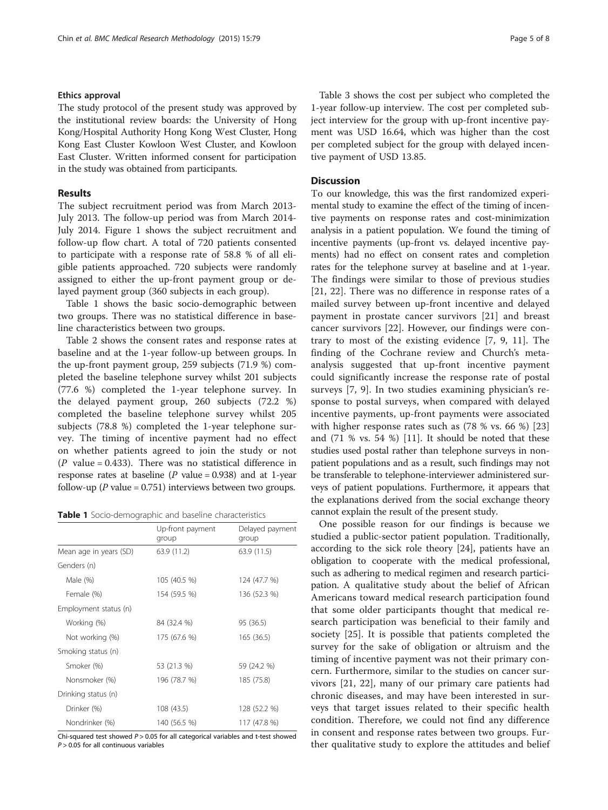#### Ethics approval

The study protocol of the present study was approved by the institutional review boards: the University of Hong Kong/Hospital Authority Hong Kong West Cluster, Hong Kong East Cluster Kowloon West Cluster, and Kowloon East Cluster. Written informed consent for participation in the study was obtained from participants.

#### Results

The subject recruitment period was from March 2013- July 2013. The follow-up period was from March 2014- July 2014. Figure [1](#page-3-0) shows the subject recruitment and follow-up flow chart. A total of 720 patients consented to participate with a response rate of 58.8 % of all eligible patients approached. 720 subjects were randomly assigned to either the up-front payment group or delayed payment group (360 subjects in each group).

Table 1 shows the basic socio-demographic between two groups. There was no statistical difference in baseline characteristics between two groups.

Table [2](#page-5-0) shows the consent rates and response rates at baseline and at the 1-year follow-up between groups. In the up-front payment group, 259 subjects (71.9 %) completed the baseline telephone survey whilst 201 subjects (77.6 %) completed the 1-year telephone survey. In the delayed payment group, 260 subjects (72.2 %) completed the baseline telephone survey whilst 205 subjects (78.8 %) completed the 1-year telephone survey. The timing of incentive payment had no effect on whether patients agreed to join the study or not  $(P$  value = 0.433). There was no statistical difference in response rates at baseline ( $P$  value = 0.938) and at 1-year follow-up ( $P$  value = 0.751) interviews between two groups.

Table 1 Socio-demographic and baseline characteristics

| Up-front payment<br>group    | Delayed payment<br>group |  |  |  |  |
|------------------------------|--------------------------|--|--|--|--|
| 63.9 (11.2)                  | 63.9 (11.5)              |  |  |  |  |
|                              |                          |  |  |  |  |
| 105 (40.5 %)<br>124 (47.7 %) |                          |  |  |  |  |
| 154 (59.5 %)                 | 136 (52.3 %)             |  |  |  |  |
|                              |                          |  |  |  |  |
| 84 (32.4 %)                  | 95 (36.5)                |  |  |  |  |
| 175 (67.6 %)                 | 165(36.5)                |  |  |  |  |
|                              |                          |  |  |  |  |
| 53 (21.3 %)                  | 59 (24.2 %)              |  |  |  |  |
| 196 (78.7 %)                 | 185 (75.8)               |  |  |  |  |
|                              |                          |  |  |  |  |
| 108 (43.5)                   | 128 (52.2 %)             |  |  |  |  |
| 140 (56.5 %)                 | 117 (47.8 %)             |  |  |  |  |
|                              |                          |  |  |  |  |

Chi-squared test showed  $P > 0.05$  for all categorical variables and t-test showed  $P > 0.05$  for all continuous variables

Table [3](#page-5-0) shows the cost per subject who completed the 1-year follow-up interview. The cost per completed subject interview for the group with up-front incentive payment was USD 16.64, which was higher than the cost per completed subject for the group with delayed incentive payment of USD 13.85.

## **Discussion**

To our knowledge, this was the first randomized experimental study to examine the effect of the timing of incentive payments on response rates and cost-minimization analysis in a patient population. We found the timing of incentive payments (up-front vs. delayed incentive payments) had no effect on consent rates and completion rates for the telephone survey at baseline and at 1-year. The findings were similar to those of previous studies [[21, 22\]](#page-7-0). There was no difference in response rates of a mailed survey between up-front incentive and delayed payment in prostate cancer survivors [\[21](#page-7-0)] and breast cancer survivors [\[22](#page-7-0)]. However, our findings were contrary to most of the existing evidence [\[7](#page-6-0), [9](#page-6-0), [11](#page-6-0)]. The finding of the Cochrane review and Church's metaanalysis suggested that up-front incentive payment could significantly increase the response rate of postal surveys [\[7](#page-6-0), [9](#page-6-0)]. In two studies examining physician's response to postal surveys, when compared with delayed incentive payments, up-front payments were associated with higher response rates such as (78 % vs. 66 %) [\[23](#page-7-0)] and (71 % vs. 54 %) [[11\]](#page-6-0). It should be noted that these studies used postal rather than telephone surveys in nonpatient populations and as a result, such findings may not be transferable to telephone-interviewer administered surveys of patient populations. Furthermore, it appears that the explanations derived from the social exchange theory cannot explain the result of the present study.

One possible reason for our findings is because we studied a public-sector patient population. Traditionally, according to the sick role theory [[24\]](#page-7-0), patients have an obligation to cooperate with the medical professional, such as adhering to medical regimen and research participation. A qualitative study about the belief of African Americans toward medical research participation found that some older participants thought that medical research participation was beneficial to their family and society [[25\]](#page-7-0). It is possible that patients completed the survey for the sake of obligation or altruism and the timing of incentive payment was not their primary concern. Furthermore, similar to the studies on cancer survivors [[21, 22\]](#page-7-0), many of our primary care patients had chronic diseases, and may have been interested in surveys that target issues related to their specific health condition. Therefore, we could not find any difference in consent and response rates between two groups. Further qualitative study to explore the attitudes and belief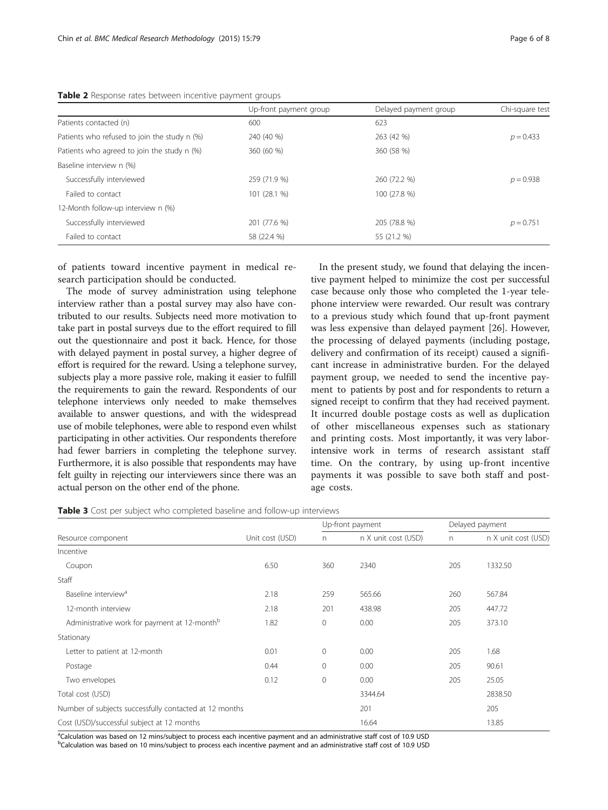|                                              | Up-front payment group | Delayed payment group | Chi-square test |  |
|----------------------------------------------|------------------------|-----------------------|-----------------|--|
| Patients contacted (n)                       | 600                    | 623                   |                 |  |
| Patients who refused to join the study n (%) | 240 (40 %)             | 263 (42 %)            | $p = 0.433$     |  |
| Patients who agreed to join the study n (%)  | 360 (60 %)             | 360 (58 %)            |                 |  |
| Baseline interview n (%)                     |                        |                       |                 |  |
| Successfully interviewed                     | 259 (71.9 %)           | 260 (72.2 %)          | $p = 0.938$     |  |
| Failed to contact                            | 101 (28.1 %)           | 100 (27.8 %)          |                 |  |
| 12-Month follow-up interview n (%)           |                        |                       |                 |  |
| Successfully interviewed                     | 201 (77.6 %)           | 205 (78.8 %)          | $p = 0.751$     |  |
| Failed to contact                            | 58 (22.4 %)            | 55 (21.2 %)           |                 |  |

#### <span id="page-5-0"></span>Table 2 Response rates between incentive payment groups

of patients toward incentive payment in medical research participation should be conducted.

The mode of survey administration using telephone interview rather than a postal survey may also have contributed to our results. Subjects need more motivation to take part in postal surveys due to the effort required to fill out the questionnaire and post it back. Hence, for those with delayed payment in postal survey, a higher degree of effort is required for the reward. Using a telephone survey, subjects play a more passive role, making it easier to fulfill the requirements to gain the reward. Respondents of our telephone interviews only needed to make themselves available to answer questions, and with the widespread use of mobile telephones, were able to respond even whilst participating in other activities. Our respondents therefore had fewer barriers in completing the telephone survey. Furthermore, it is also possible that respondents may have felt guilty in rejecting our interviewers since there was an actual person on the other end of the phone.

In the present study, we found that delaying the incentive payment helped to minimize the cost per successful case because only those who completed the 1-year telephone interview were rewarded. Our result was contrary to a previous study which found that up-front payment was less expensive than delayed payment [[26\]](#page-7-0). However, the processing of delayed payments (including postage, delivery and confirmation of its receipt) caused a significant increase in administrative burden. For the delayed payment group, we needed to send the incentive payment to patients by post and for respondents to return a signed receipt to confirm that they had received payment. It incurred double postage costs as well as duplication of other miscellaneous expenses such as stationary and printing costs. Most importantly, it was very laborintensive work in terms of research assistant staff time. On the contrary, by using up-front incentive payments it was possible to save both staff and postage costs.

Table 3 Cost per subject who completed baseline and follow-up interviews

| Resource component                                       |                 |              | Up-front payment    |     | Delayed payment     |  |
|----------------------------------------------------------|-----------------|--------------|---------------------|-----|---------------------|--|
|                                                          | Unit cost (USD) | n.           | n X unit cost (USD) | n.  | n X unit cost (USD) |  |
| Incentive                                                |                 |              |                     |     |                     |  |
| Coupon                                                   | 6.50            | 360          | 2340                | 205 | 1332.50             |  |
| Staff                                                    |                 |              |                     |     |                     |  |
| Baseline interview <sup>a</sup>                          | 2.18            | 259          | 565.66              | 260 | 567.84              |  |
| 12-month interview                                       | 2.18            | 201          | 438.98              | 205 | 447.72              |  |
| Administrative work for payment at 12-month <sup>b</sup> | 1.82            | $\mathbf{0}$ | 0.00                | 205 | 373.10              |  |
| Stationary                                               |                 |              |                     |     |                     |  |
| Letter to patient at 12-month                            | 0.01            | $\mathbf{0}$ | 0.00                | 205 | 1.68                |  |
| Postage                                                  | 0.44            | $\mathbf 0$  | 0.00                | 205 | 90.61               |  |
| Two envelopes                                            | 0.12            | $\mathbf{0}$ | 0.00                | 205 | 25.05               |  |
| Total cost (USD)                                         |                 |              | 3344.64             |     | 2838.50             |  |
| Number of subjects successfully contacted at 12 months   |                 |              | 201                 |     | 205                 |  |
| Cost (USD)/successful subject at 12 months               |                 |              | 16.64               |     | 13.85               |  |

<sup>a</sup>Calculation was based on 12 mins/subject to process each incentive payment and an administrative staff cost of 10.9 USD

b<br>Calculation was based on 10 mins/subject to process each incentive payment and an administrative staff cost of 10.9 USD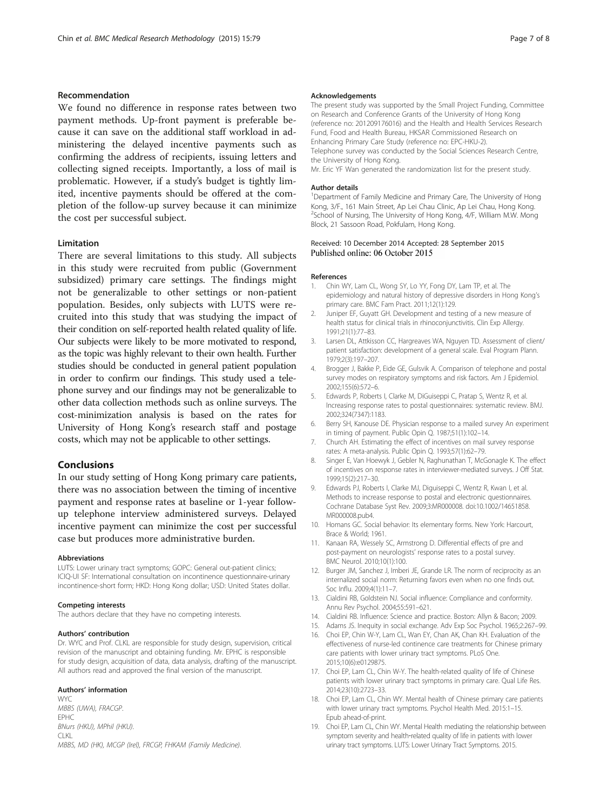### <span id="page-6-0"></span>Recommendation

We found no difference in response rates between two payment methods. Up-front payment is preferable because it can save on the additional staff workload in administering the delayed incentive payments such as confirming the address of recipients, issuing letters and collecting signed receipts. Importantly, a loss of mail is problematic. However, if a study's budget is tightly limited, incentive payments should be offered at the completion of the follow-up survey because it can minimize the cost per successful subject.

# Limitation

There are several limitations to this study. All subjects in this study were recruited from public (Government subsidized) primary care settings. The findings might not be generalizable to other settings or non-patient population. Besides, only subjects with LUTS were recruited into this study that was studying the impact of their condition on self-reported health related quality of life. Our subjects were likely to be more motivated to respond, as the topic was highly relevant to their own health. Further studies should be conducted in general patient population in order to confirm our findings. This study used a telephone survey and our findings may not be generalizable to other data collection methods such as online surveys. The cost-minimization analysis is based on the rates for University of Hong Kong's research staff and postage costs, which may not be applicable to other settings.

# Conclusions

In our study setting of Hong Kong primary care patients, there was no association between the timing of incentive payment and response rates at baseline or 1-year followup telephone interview administered surveys. Delayed incentive payment can minimize the cost per successful case but produces more administrative burden.

#### Abbreviations

LUTS: Lower urinary tract symptoms; GOPC: General out-patient clinics; ICIQ-UI SF: International consultation on incontinence questionnaire-urinary incontinence-short form; HKD: Hong Kong dollar; USD: United States dollar.

#### Competing interests

The authors declare that they have no competing interests.

#### Authors' contribution

Dr. WYC and Prof. CLKL are responsible for study design, supervision, critical revision of the manuscript and obtaining funding. Mr. EPHC is responsible for study design, acquisition of data, data analysis, drafting of the manuscript. All authors read and approved the final version of the manuscript.

#### Authors' information

WYC MBBS (UWA), FRACGP. EPHC BNurs (HKU), MPhil (HKU). CLKL MBBS, MD (HK), MCGP (Irel), FRCGP, FHKAM (Family Medicine).

#### Acknowledgements

The present study was supported by the Small Project Funding, Committee on Research and Conference Grants of the University of Hong Kong (reference no: 201209176016) and the Health and Health Services Research Fund, Food and Health Bureau, HKSAR Commissioned Research on Enhancing Primary Care Study (reference no: EPC-HKU-2). Telephone survey was conducted by the Social Sciences Research Centre, the University of Hong Kong.

Mr. Eric YF Wan generated the randomization list for the present study.

#### Author details

<sup>1</sup>Department of Family Medicine and Primary Care, The University of Hong Kong, 3/F., 161 Main Street, Ap Lei Chau Clinic, Ap Lei Chau, Hong Kong. <sup>2</sup>School of Nursing, The University of Hong Kong, 4/F, William M.W. Mong Block, 21 Sassoon Road, Pokfulam, Hong Kong.

#### Received: 10 December 2014 Accepted: 28 September 2015 Published online: 06 October 2015

#### References

- 1. Chin WY, Lam CL, Wong SY, Lo YY, Fong DY, Lam TP, et al. The epidemiology and natural history of depressive disorders in Hong Kong's primary care. BMC Fam Pract. 2011;12(1):129.
- 2. Juniper EF, Guyatt GH. Development and testing of a new measure of health status for clinical trials in rhinoconjunctivitis. Clin Exp Allergy. 1991;21(1):77–83.
- 3. Larsen DL, Attkisson CC, Hargreaves WA, Nguyen TD. Assessment of client/ patient satisfaction: development of a general scale. Eval Program Plann. 1979;2(3):197–207.
- 4. Brogger J, Bakke P, Eide GE, Gulsvik A. Comparison of telephone and postal survey modes on respiratory symptoms and risk factors. Am J Epidemiol. 2002;155(6):572–6.
- 5. Edwards P, Roberts I, Clarke M, DiGuiseppi C, Pratap S, Wentz R, et al. Increasing response rates to postal questionnaires: systematic review. BMJ. 2002;324(7347):1183.
- 6. Berry SH, Kanouse DE. Physician response to a mailed survey An experiment in timing of payment. Public Opin Q. 1987;51(1):102–14.
- 7. Church AH. Estimating the effect of incentives on mail survey response rates: A meta-analysis. Public Opin Q. 1993;57(1):62–79.
- 8. Singer E, Van Hoewyk J, Gebler N, Raghunathan T, McGonagle K. The effect of incentives on response rates in interviewer-mediated surveys. J Off Stat. 1999;15(2):217–30.
- 9. Edwards PJ, Roberts I, Clarke MJ, Diguiseppi C, Wentz R, Kwan I, et al. Methods to increase response to postal and electronic questionnaires. Cochrane Database Syst Rev. 2009;3:MR000008. doi:[10.1002/14651858.](http://dx.doi.org/10.1002/14651858.MR000008.pub4) [MR000008.pub4](http://dx.doi.org/10.1002/14651858.MR000008.pub4).
- 10. Homans GC. Social behavior: Its elementary forms. New York: Harcourt, Brace & World; 1961.
- 11. Kanaan RA, Wessely SC, Armstrong D. Differential effects of pre and post-payment on neurologists' response rates to a postal survey. BMC Neurol. 2010;10(1):100.
- 12. Burger JM, Sanchez J, Imberi JE, Grande LR. The norm of reciprocity as an internalized social norm: Returning favors even when no one finds out. Soc Influ. 2009;4(1):11–7.
- 13. Cialdini RB, Goldstein NJ. Social influence: Compliance and conformity. Annu Rev Psychol. 2004;55:591–621.
- 14. Cialdini RB. Influence: Science and practice. Boston: Allyn & Bacon; 2009.
- 15. Adams JS. Inequity in social exchange. Adv Exp Soc Psychol. 1965;2:267–99.
- 16. Choi EP, Chin W-Y, Lam CL, Wan EY, Chan AK, Chan KH. Evaluation of the effectiveness of nurse-led continence care treatments for Chinese primary care patients with lower urinary tract symptoms. PLoS One. 2015;10(6):e0129875.
- 17. Choi EP, Lam CL, Chin W-Y. The health-related quality of life of Chinese patients with lower urinary tract symptoms in primary care. Qual Life Res. 2014;23(10):2723–33.
- 18. Choi EP, Lam CL, Chin WY. Mental health of Chinese primary care patients with lower urinary tract symptoms. Psychol Health Med. 2015:1–15. Epub ahead-of-print.
- 19. Choi EP, Lam CL, Chin WY. Mental Health mediating the relationship between symptom severity and health-related quality of life in patients with lower urinary tract symptoms. LUTS: Lower Urinary Tract Symptoms. 2015.